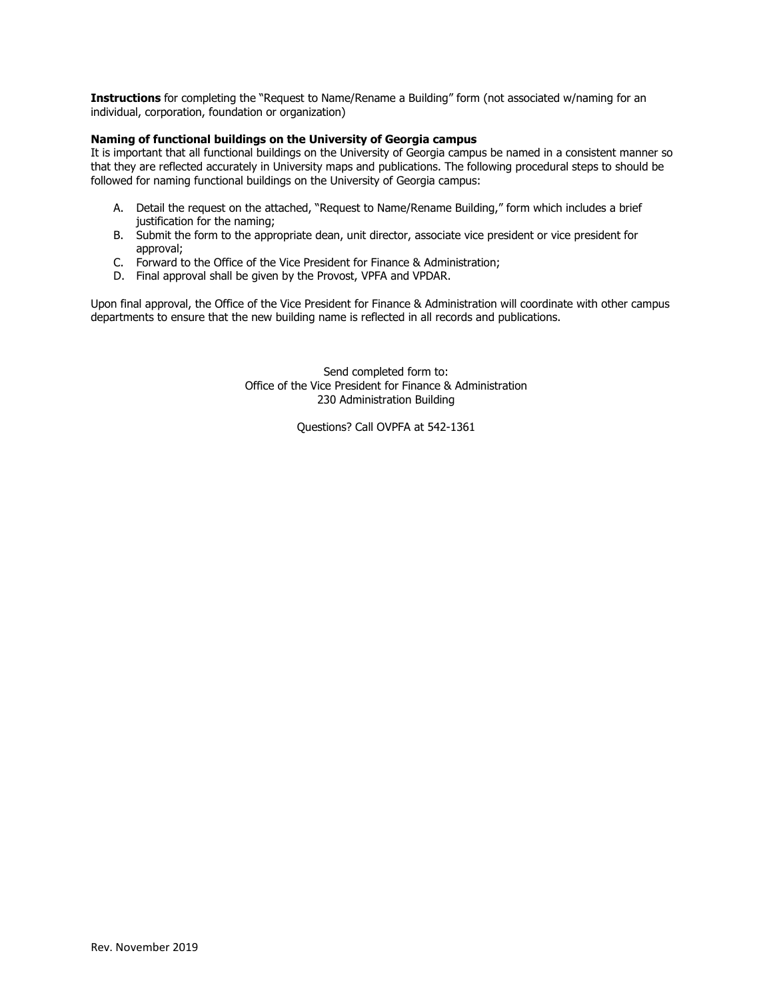**Instructions** for completing the "Request to Name/Rename a Building" form (not associated w/naming for an individual, corporation, foundation or organization)

## **Naming of functional buildings on the University of Georgia campus**

It is important that all functional buildings on the University of Georgia campus be named in a consistent manner so that they are reflected accurately in University maps and publications. The following procedural steps to should be followed for naming functional buildings on the University of Georgia campus:

- A. Detail the request on the attached, "Request to Name/Rename Building," form which includes a brief justification for the naming;
- B. Submit the form to the appropriate dean, unit director, associate vice president or vice president for approval;
- C. Forward to the Office of the Vice President for Finance & Administration;
- D. Final approval shall be given by the Provost, VPFA and VPDAR.

Upon final approval, the Office of the Vice President for Finance & Administration will coordinate with other campus departments to ensure that the new building name is reflected in all records and publications.

> Send completed form to: Office of the Vice President for Finance & Administration 230 Administration Building

> > Questions? Call OVPFA at 542-1361